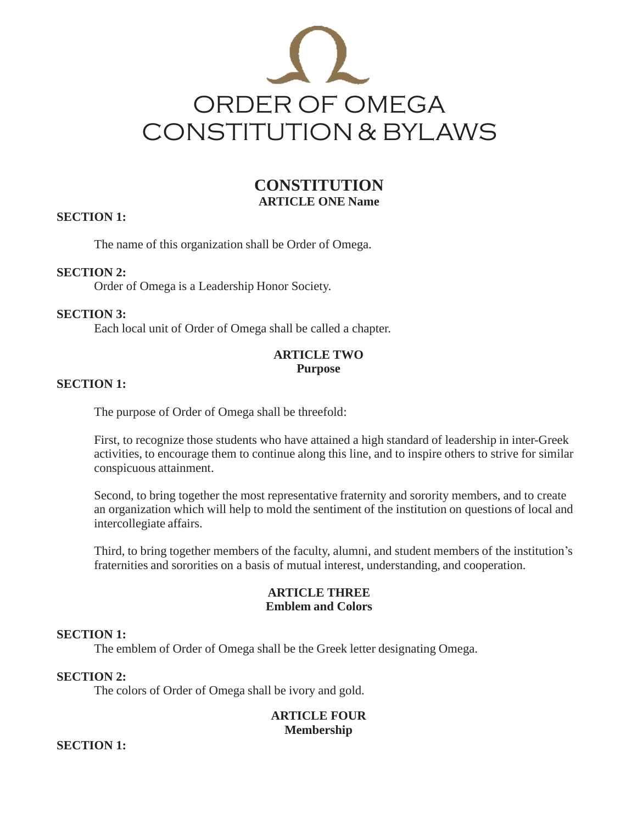

# **CONSTITUTION ARTICLE ONE Name**

## **SECTION 1:**

The name of this organization shall be Order of Omega.

## **SECTION 2:**

Order of Omega is a Leadership Honor Society.

## **SECTION 3:**

Each local unit of Order of Omega shall be called a chapter.

## **ARTICLE TWO Purpose**

## **SECTION 1:**

The purpose of Order of Omega shall be threefold:

First, to recognize those students who have attained a high standard of leadership in inter-Greek activities, to encourage them to continue along this line, and to inspire others to strive for similar conspicuous attainment.

Second, to bring together the most representative fraternity and sorority members, and to create an organization which will help to mold the sentiment of the institution on questions of local and intercollegiate affairs.

Third, to bring together members of the faculty, alumni, and student members of the institution's fraternities and sororities on a basis of mutual interest, understanding, and cooperation.

## **ARTICLE THREE Emblem and Colors**

#### **SECTION 1:**

The emblem of Order of Omega shall be the Greek letter designating Omega.

## **SECTION 2:**

The colors of Order of Omega shall be ivory and gold.

## **ARTICLE FOUR Membership**

**SECTION 1:**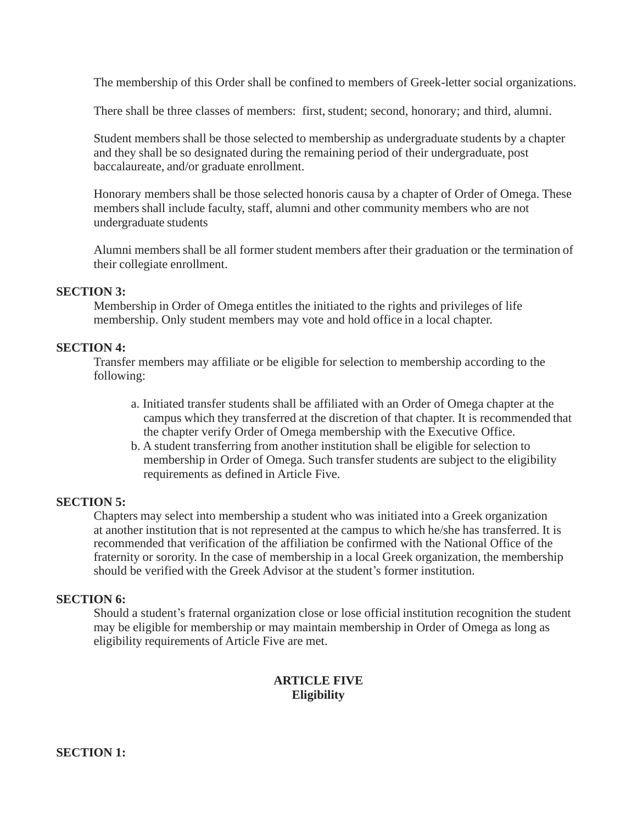The membership of this Order shall be confined to members of Greek-letter social organizations.

There shall be three classes of members: first, student; second, honorary; and third, alumni.

Student members shall be those selected to membership as undergraduate students by a chapter and they shall be so designated during the remaining period of their undergraduate, post baccalaureate, and/or graduate enrollment.

Honorary members shall be those selected honoris causa by a chapter of Order of Omega. These members shall include faculty, staff, alumni and other community members who are not undergraduate students

Alumni members shall be all former student members after their graduation or the termination of their collegiate enrollment.

#### **SECTION 3:**

Membership in Order of Omega entitles the initiated to the rights and privileges of life membership. Only student members may vote and hold office in a local chapter.

#### **SECTION 4:**

Transfer members may affiliate or be eligible for selection to membership according to the following:

- a. Initiated transfer students shall be affiliated with an Order of Omega chapter at the campus which they transferred at the discretion of that chapter. It is recommended that the chapter verify Order of Omega membership with the Executive Office.
- b. A student transferring from another institution shall be eligible for selection to membership in Order of Omega. Such transfer students are subject to the eligibility requirements as defined in Article Five.

#### **SECTION 5:**

Chapters may select into membership a student who was initiated into a Greek organization at another institution that is not represented at the campus to which he/she has transferred. It is recommended that verification of the affiliation be confirmed with the National Office of the fraternity or sorority. In the case of membership in a local Greek organization, the membership should be verified with the Greek Advisor at the student's former institution.

## **SECTION 6:**

Should a student's fraternal organization close or lose official institution recognition the student may be eligible for membership or may maintain membership in Order of Omega as long as eligibility requirements of Article Five are met.

## **ARTICLE FIVE Eligibility**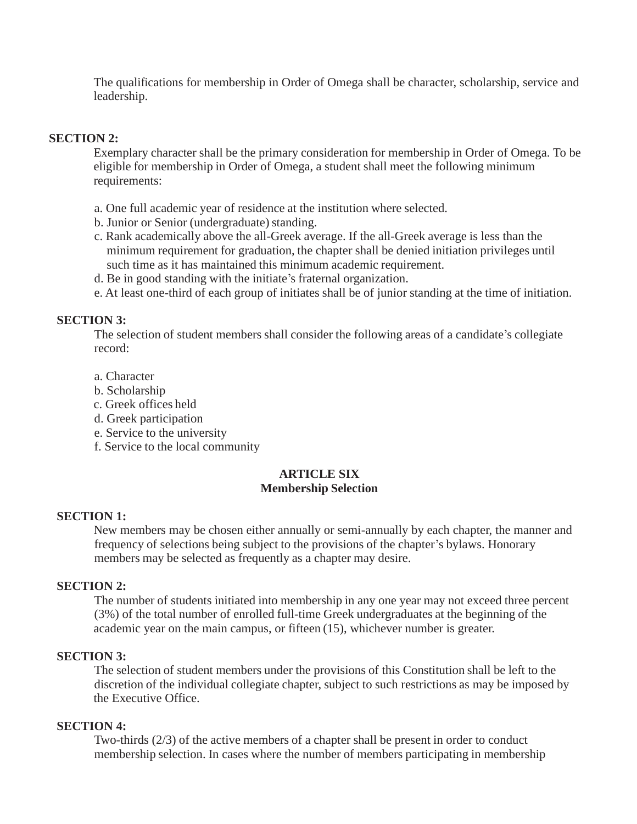The qualifications for membership in Order of Omega shall be character, scholarship, service and leadership.

#### **SECTION 2:**

Exemplary character shall be the primary consideration for membership in Order of Omega. To be eligible for membership in Order of Omega, a student shall meet the following minimum requirements:

- a. One full academic year of residence at the institution where selected.
- b. Junior or Senior (undergraduate) standing.
- c. Rank academically above the all-Greek average. If the all-Greek average is less than the minimum requirement for graduation, the chapter shall be denied initiation privileges until such time as it has maintained this minimum academic requirement.
- d. Be in good standing with the initiate's fraternal organization.
- e. At least one-third of each group of initiates shall be of junior standing at the time of initiation.

## **SECTION 3:**

The selection of student members shall consider the following areas of a candidate's collegiate record:

- a. Character
- b. Scholarship
- c. Greek offices held
- d. Greek participation
- e. Service to the university
- f. Service to the local community

### **ARTICLE SIX Membership Selection**

#### **SECTION 1:**

New members may be chosen either annually or semi-annually by each chapter, the manner and frequency of selections being subject to the provisions of the chapter's bylaws. Honorary members may be selected as frequently as a chapter may desire.

#### **SECTION 2:**

The number of students initiated into membership in any one year may not exceed three percent (3%) of the total number of enrolled full-time Greek undergraduates at the beginning of the academic year on the main campus, or fifteen (15), whichever number is greater.

#### **SECTION 3:**

The selection of student members under the provisions of this Constitution shall be left to the discretion of the individual collegiate chapter, subject to such restrictions as may be imposed by the Executive Office.

#### **SECTION 4:**

Two-thirds (2/3) of the active members of a chapter shall be present in order to conduct membership selection. In cases where the number of members participating in membership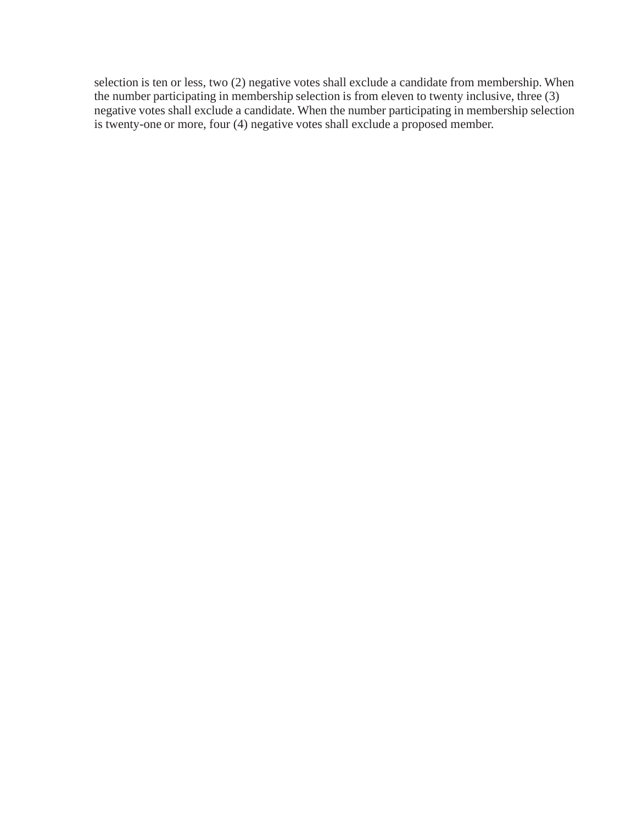selection is ten or less, two (2) negative votes shall exclude a candidate from membership. When the number participating in membership selection is from eleven to twenty inclusive, three (3) negative votes shall exclude a candidate. When the number participating in membership selection is twenty-one or more, four (4) negative votes shall exclude a proposed member.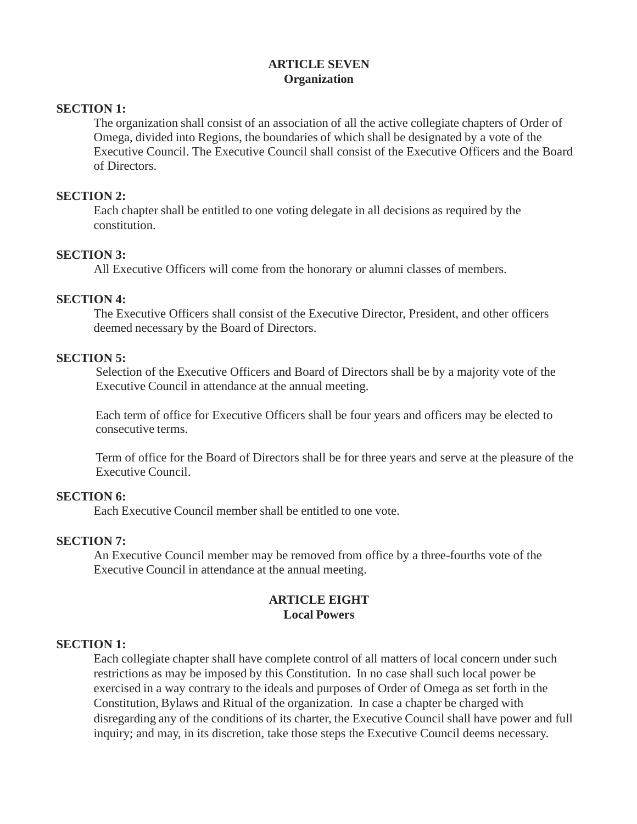# **ARTICLE SEVEN Organization**

## **SECTION 1:**

The organization shall consist of an association of all the active collegiate chapters of Order of Omega, divided into Regions, the boundaries of which shall be designated by a vote of the Executive Council. The Executive Council shall consist of the Executive Officers and the Board of Directors.

#### **SECTION 2:**

Each chapter shall be entitled to one voting delegate in all decisions as required by the constitution.

### **SECTION 3:**

All Executive Officers will come from the honorary or alumni classes of members.

### **SECTION 4:**

The Executive Officers shall consist of the Executive Director, President, and other officers deemed necessary by the Board of Directors.

#### **SECTION 5:**

Selection of the Executive Officers and Board of Directors shall be by a majority vote of the Executive Council in attendance at the annual meeting.

Each term of office for Executive Officers shall be four years and officers may be elected to consecutive terms.

Term of office for the Board of Directors shall be for three years and serve at the pleasure of the Executive Council.

#### **SECTION 6:**

Each Executive Council member shall be entitled to one vote.

#### **SECTION 7:**

An Executive Council member may be removed from office by a three-fourths vote of the Executive Council in attendance at the annual meeting.

## **ARTICLE EIGHT Local Powers**

#### **SECTION 1:**

Each collegiate chapter shall have complete control of all matters of local concern under such restrictions as may be imposed by this Constitution. In no case shall such local power be exercised in a way contrary to the ideals and purposes of Order of Omega as set forth in the Constitution, Bylaws and Ritual of the organization. In case a chapter be charged with disregarding any of the conditions of its charter, the Executive Council shall have power and full inquiry; and may, in its discretion, take those steps the Executive Council deems necessary.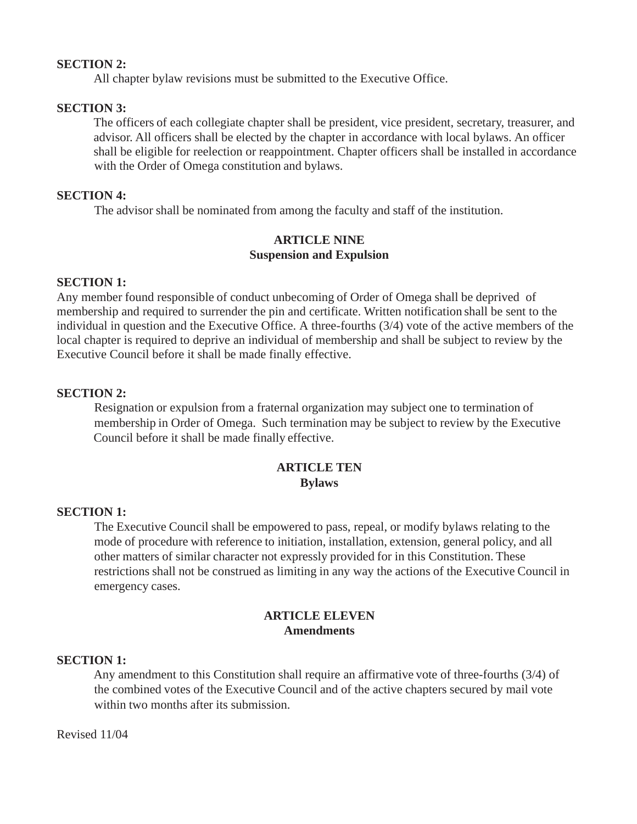### **SECTION 2:**

All chapter bylaw revisions must be submitted to the Executive Office.

## **SECTION 3:**

The officers of each collegiate chapter shall be president, vice president, secretary, treasurer, and advisor. All officers shall be elected by the chapter in accordance with local bylaws. An officer shall be eligible for reelection or reappointment. Chapter officers shall be installed in accordance with the Order of Omega constitution and bylaws.

## **SECTION 4:**

The advisor shall be nominated from among the faculty and staff of the institution.

## **ARTICLE NINE Suspension and Expulsion**

## **SECTION 1:**

Any member found responsible of conduct unbecoming of Order of Omega shall be deprived of membership and required to surrender the pin and certificate. Written notification shall be sent to the individual in question and the Executive Office. A three-fourths (3/4) vote of the active members of the local chapter is required to deprive an individual of membership and shall be subject to review by the Executive Council before it shall be made finally effective.

### **SECTION 2:**

Resignation or expulsion from a fraternal organization may subject one to termination of membership in Order of Omega. Such termination may be subject to review by the Executive Council before it shall be made finally effective.

## **ARTICLE TEN Bylaws**

#### **SECTION 1:**

The Executive Council shall be empowered to pass, repeal, or modify bylaws relating to the mode of procedure with reference to initiation, installation, extension, general policy, and all other matters of similar character not expressly provided for in this Constitution. These restrictions shall not be construed as limiting in any way the actions of the Executive Council in emergency cases.

### **ARTICLE ELEVEN Amendments**

#### **SECTION 1:**

Any amendment to this Constitution shall require an affirmative vote of three-fourths (3/4) of the combined votes of the Executive Council and of the active chapters secured by mail vote within two months after its submission.

#### Revised 11/04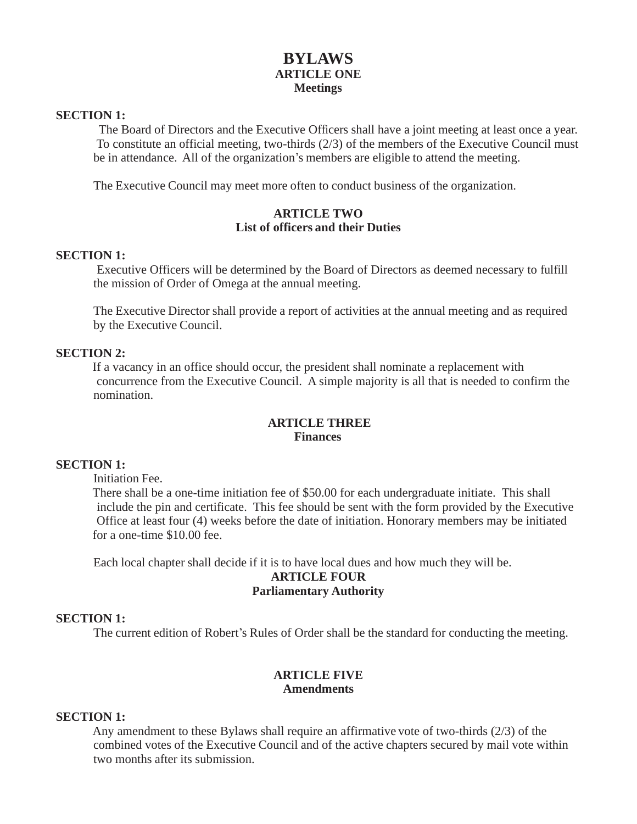# **BYLAWS ARTICLE ONE Meetings**

#### **SECTION 1:**

The Board of Directors and the Executive Officers shall have a joint meeting at least once a year. To constitute an official meeting, two-thirds (2/3) of the members of the Executive Council must be in attendance. All of the organization's members are eligible to attend the meeting.

The Executive Council may meet more often to conduct business of the organization.

## **ARTICLE TWO List of officers and their Duties**

### **SECTION 1:**

Executive Officers will be determined by the Board of Directors as deemed necessary to fulfill the mission of Order of Omega at the annual meeting.

The Executive Director shall provide a report of activities at the annual meeting and as required by the Executive Council.

### **SECTION 2:**

If a vacancy in an office should occur, the president shall nominate a replacement with concurrence from the Executive Council. A simple majority is all that is needed to confirm the nomination.

## **ARTICLE THREE Finances**

## **SECTION 1:**

Initiation Fee.

There shall be a one-time initiation fee of \$50.00 for each undergraduate initiate. This shall include the pin and certificate. This fee should be sent with the form provided by the Executive Office at least four (4) weeks before the date of initiation. Honorary members may be initiated for a one-time \$10.00 fee.

Each local chapter shall decide if it is to have local dues and how much they will be.

#### **ARTICLE FOUR Parliamentary Authority**

#### **SECTION 1:**

The current edition of Robert's Rules of Order shall be the standard for conducting the meeting.

## **ARTICLE FIVE Amendments**

#### **SECTION 1:**

Any amendment to these Bylaws shall require an affirmative vote of two-thirds (2/3) of the combined votes of the Executive Council and of the active chapters secured by mail vote within two months after its submission.